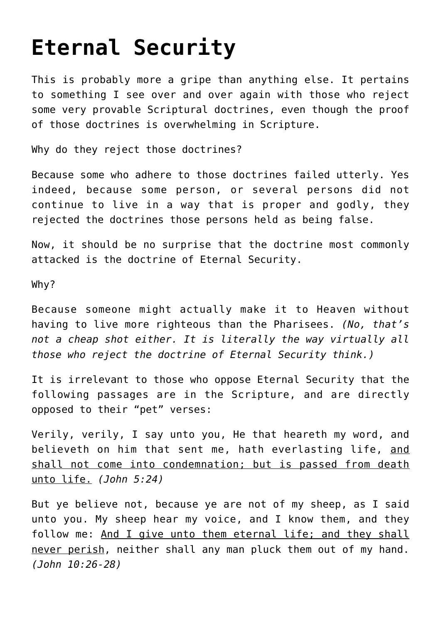## **[Eternal Security](http://reproachofmen.org/2008/09/eternal-security/)**

This is probably more a gripe than anything else. It pertains to something I see over and over again with those who reject some very provable Scriptural doctrines, even though the proof of those doctrines is overwhelming in Scripture.

Why do they reject those doctrines?

Because some who adhere to those doctrines failed utterly. Yes indeed, [because some person, or several persons did not](http://www.obeyingthetruth.com/about_us.html) [continue to live in a way that is proper and godly,](http://www.obeyingthetruth.com/about_us.html) they rejected the doctrines those persons held as being false.

Now, it should be no surprise that the doctrine most commonly attacked is the doctrine of Eternal Security.

Why?

Because someone might actually make it to Heaven without having to live more righteous than the Pharisees. *(No, that's not a cheap shot either. It is literally the way virtually all those who reject the doctrine of Eternal Security think.)*

It is irrelevant to those who oppose Eternal Security that the following passages are in the Scripture, and are directly opposed to their "pet" verses:

Verily, verily, I say unto you, He that heareth my word, and believeth on him that sent me, hath everlasting life, and shall not come into condemnation; but is passed from death unto life. *(John 5:24)*

But ye believe not, because ye are not of my sheep, as I said unto you. My sheep hear my voice, and I know them, and they follow me: And I give unto them eternal life; and they shall never perish, neither shall any man pluck them out of my hand. *(John 10:26-28)*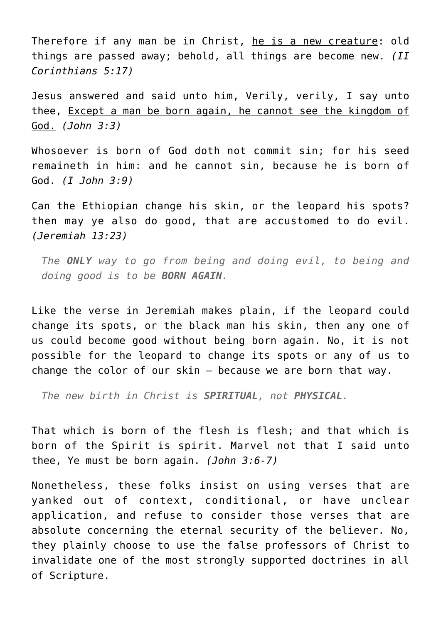Therefore if any man be in Christ, he is a new creature: old things are passed away; behold, all things are become new. *(II Corinthians 5:17)*

Jesus answered and said unto him, Verily, verily, I say unto thee, Except a man be born again, he cannot see the kingdom of God. *(John 3:3)*

Whosoever is born of God doth not commit sin; for his seed remaineth in him: and he cannot sin, because he is born of God. *(I John 3:9)*

Can the Ethiopian change his skin, or the leopard his spots? then may ye also do good, that are accustomed to do evil. *(Jeremiah 13:23)*

*The ONLY way to go from being and doing evil, to being and doing good is to be BORN AGAIN.*

Like the verse in Jeremiah makes plain, if the leopard could change its spots, or the black man his skin, then any one of us could become good without being born again. No, it is not possible for the leopard to change its spots or any of us to change the color of our skin — because we are born that way.

*The new birth in Christ is SPIRITUAL, not PHYSICAL.*

That which is born of the flesh is flesh; and that which is born of the Spirit is spirit. Marvel not that I said unto thee, Ye must be born again. *(John 3:6-7)*

Nonetheless, these folks insist on using [verses that are](http://www.obeyingthetruth.com/articles/eternal_security.html) [yanked out of context, conditional, or have unclear](http://www.obeyingthetruth.com/articles/eternal_security.html) [application, and refuse to consider those verses that are](http://www.obeyingthetruth.com/articles/eternal_security.html) [absolute concerning the eternal security of the believer.](http://www.obeyingthetruth.com/articles/eternal_security.html) No, they plainly choose to use the false professors of Christ to invalidate one of the most strongly supported doctrines in all of Scripture.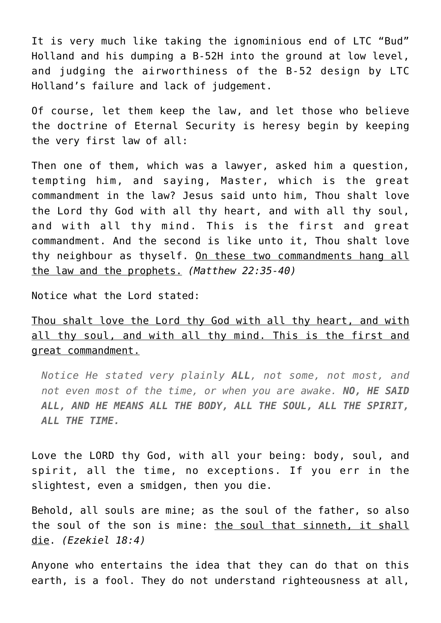It is very much like taking the ignominious end of LTC "Bud" Holland and his [dumping a B-52H into the ground at low level,](http://www.check-six.com/Crash_Sites/Czar52Crash.htm) and judging the airworthiness of the B-52 design by LTC Holland's failure and lack of judgement.

Of course, let them keep the law, and let those who believe the doctrine of Eternal Security is heresy begin by keeping the very first law of all:

Then one of them, which was a lawyer, asked him a question, tempting him, and saying, Master, which is the great commandment in the law? Jesus said unto him, Thou shalt love the Lord thy God with all thy heart, and with all thy soul, and with all thy mind. This is the first and great commandment. And the second is like unto it, Thou shalt love thy neighbour as thyself. On these two commandments hang all the law and the prophets. *(Matthew 22:35-40)*

Notice what the Lord stated:

Thou shalt love the Lord thy God with all thy heart, and with all thy soul, and with all thy mind. This is the first and great commandment.

*Notice He stated very plainly ALL, not some, not most, and not even most of the time, or when you are awake. NO, HE SAID ALL, AND HE MEANS ALL THE BODY, ALL THE SOUL, ALL THE SPIRIT, ALL THE TIME.*

Love the LORD thy God, with all your being: body, soul, and spirit, all the time, no exceptions. If you err in the slightest, even a smidgen, then you die.

Behold, all souls are mine; as the soul of the father, so also the soul of the son is mine: the soul that sinneth, it shall die. *(Ezekiel 18:4)*

Anyone who entertains the idea that they can do that on this earth, is a fool. They do not understand righteousness at all,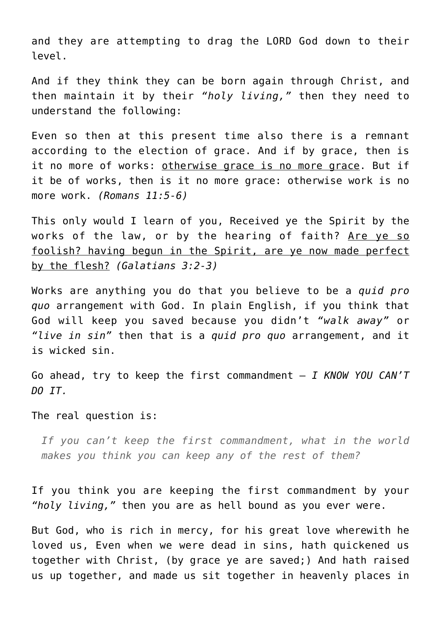and they are attempting to drag the LORD God down to their level.

And if they think they can be born again through Christ, and then maintain it by their *"holy living,"* then they need to understand the following:

Even so then at this present time also there is a remnant according to the election of grace. And if by grace, then is it no more of works: otherwise grace is no more grace. But if it be of works, then is it no more grace: otherwise work is no more work. *(Romans 11:5-6)*

This only would I learn of you, Received ye the Spirit by the works of the law, or by the hearing of faith? Are ye so foolish? having begun in the Spirit, are ye now made perfect by the flesh? *(Galatians 3:2-3)*

Works are anything you do that you believe to be a *quid pro quo* arrangement with God. In plain English, if you think that God will keep you saved because you didn't *"walk away"* or *"live in sin"* then that is a *quid pro quo* arrangement, and it is wicked sin.

Go ahead, try to keep the first commandment — *I KNOW YOU CAN'T DO IT.*

## The real question is:

*If you can't keep the first commandment, what in the world makes you think you can keep any of the rest of them?*

If you think you are keeping the first commandment by your *"holy living,"* then you are as hell bound as you ever were.

But God, who is rich in mercy, for his great love wherewith he loved us, Even when we were dead in sins, hath quickened us together with Christ, (by grace ye are saved;) And hath raised us up together, and made us sit together in heavenly places in